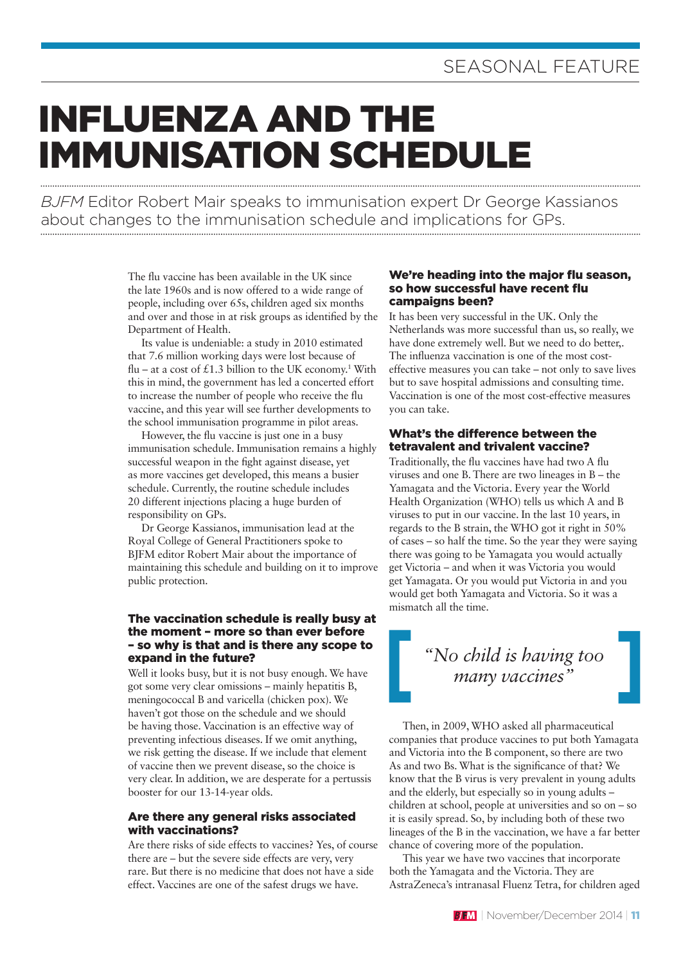# INFLUENZA AND THE IMMUNISATION SCHEDULE

*BJFM* Editor Robert Mair speaks to immunisation expert Dr George Kassianos about changes to the immunisation schedule and implications for GPs.

> The flu vaccine has been available in the UK since the late 1960s and is now offered to a wide range of people, including over 65s, children aged six months and over and those in at risk groups as identified by the Department of Health.

> Its value is undeniable: a study in 2010 estimated that 7.6 million working days were lost because of flu – at a cost of £1.3 billion to the UK economy.<sup>1</sup> With this in mind, the government has led a concerted effort to increase the number of people who receive the flu vaccine, and this year will see further developments to the school immunisation programme in pilot areas.

> However, the flu vaccine is just one in a busy immunisation schedule. Immunisation remains a highly successful weapon in the fight against disease, yet as more vaccines get developed, this means a busier schedule. Currently, the routine schedule includes 20 different injections placing a huge burden of responsibility on GPs.

> Dr George Kassianos, immunisation lead at the Royal College of General Practitioners spoke to BJFM editor Robert Mair about the importance of maintaining this schedule and building on it to improve public protection.

#### The vaccination schedule is really busy at the moment – more so than ever before – so why is that and is there any scope to expand in the future?

Well it looks busy, but it is not busy enough. We have got some very clear omissions – mainly hepatitis B, meningococcal B and varicella (chicken pox). We haven't got those on the schedule and we should be having those. Vaccination is an effective way of preventing infectious diseases. If we omit anything, we risk getting the disease. If we include that element of vaccine then we prevent disease, so the choice is very clear. In addition, we are desperate for a pertussis booster for our 13-14-year olds.

#### Are there any general risks associated with vaccinations?

Are there risks of side effects to vaccines? Yes, of course there are – but the severe side effects are very, very rare. But there is no medicine that does not have a side effect. Vaccines are one of the safest drugs we have.

#### We're heading into the major flu season, so how successful have recent flu campaigns been?

It has been very successful in the UK. Only the Netherlands was more successful than us, so really, we have done extremely well. But we need to do better,. The influenza vaccination is one of the most costeffective measures you can take – not only to save lives but to save hospital admissions and consulting time. Vaccination is one of the most cost-effective measures you can take.

#### What's the difference between the tetravalent and trivalent vaccine?

Traditionally, the flu vaccines have had two A flu viruses and one B. There are two lineages in B – the Yamagata and the Victoria. Every year the World Health Organization (WHO) tells us which A and B viruses to put in our vaccine. In the last 10 years, in regards to the B strain, the WHO got it right in 50% of cases – so half the time. So the year they were saying there was going to be Yamagata you would actually get Victoria – and when it was Victoria you would get Yamagata. Or you would put Victoria in and you would get both Yamagata and Victoria. So it was a mismatch all the time.

## *"No child is having too many vaccines"*

Then, in 2009, WHO asked all pharmaceutical companies that produce vaccines to put both Yamagata and Victoria into the B component, so there are two As and two Bs. What is the significance of that? We know that the B virus is very prevalent in young adults and the elderly, but especially so in young adults – children at school, people at universities and so on – so it is easily spread. So, by including both of these two lineages of the B in the vaccination, we have a far better chance of covering more of the population.

This year we have two vaccines that incorporate both the Yamagata and the Victoria. They are AstraZeneca's intranasal Fluenz Tetra, for children aged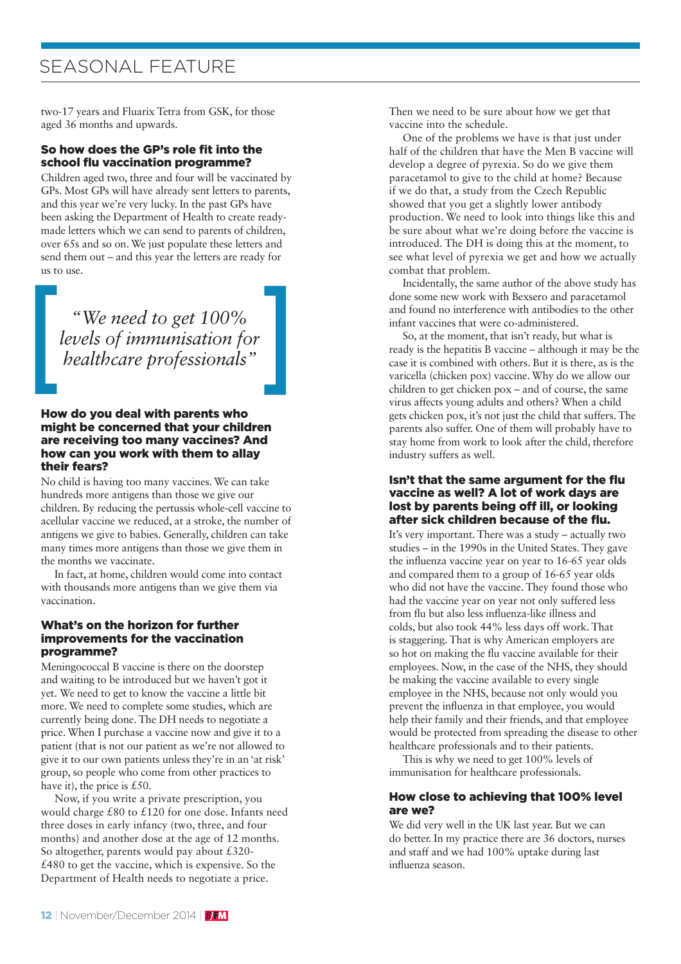## SEASONAL FEATURE

two-17 years and Fluarix Tetra from GSK, for those aged 36 months and upwards.

#### So how does the GP's role fit into the school flu vaccination programme?

Children aged two, three and four will be vaccinated by GPs. Most GPs will have already sent letters to parents, and this year we're very lucky. In the past GPs have been asking the Department of Health to create readymade letters which we can send to parents of children, over 65s and so on. We just populate these letters and send them out – and this year the letters are ready for us to use.

*"We need to get 100% levels of immunisation for healthcare professionals"*

#### How do you deal with parents who might be concerned that your children are receiving too many vaccines? And how can you work with them to allay their fears?

No child is having too many vaccines. We can take hundreds more antigens than those we give our children. By reducing the pertussis whole-cell vaccine to acellular vaccine we reduced, at a stroke, the number of antigens we give to babies. Generally, children can take many times more antigens than those we give them in the months we vaccinate.

In fact, at home, children would come into contact with thousands more antigens than we give them via vaccination.

#### What's on the horizon for further improvements for the vaccination programme?

Meningococcal B vaccine is there on the doorstep and waiting to be introduced but we haven't got it yet. We need to get to know the vaccine a little bit more. We need to complete some studies, which are currently being done. The DH needs to negotiate a price. When I purchase a vaccine now and give it to a patient (that is not our patient as we're not allowed to give it to our own patients unless they're in an 'at risk' group, so people who come from other practices to have it), the price is £50.

Now, if you write a private prescription, you would charge £80 to £120 for one dose. Infants need three doses in early infancy (two, three, and four months) and another dose at the age of 12 months. So altogether, parents would pay about £320- £480 to get the vaccine, which is expensive. So the Department of Health needs to negotiate a price.

Then we need to be sure about how we get that vaccine into the schedule.

One of the problems we have is that just under half of the children that have the Men B vaccine will develop a degree of pyrexia. So do we give them paracetamol to give to the child at home? Because if we do that, a study from the Czech Republic showed that you get a slightly lower antibody production. We need to look into things like this and be sure about what we're doing before the vaccine is introduced. The DH is doing this at the moment, to see what level of pyrexia we get and how we actually combat that problem.

Incidentally, the same author of the above study has done some new work with Bexsero and paracetamol and found no interference with antibodies to the other infant vaccines that were co-administered.

So, at the moment, that isn't ready, but what is ready is the hepatitis B vaccine – although it may be the case it is combined with others. But it is there, as is the varicella (chicken pox) vaccine. Why do we allow our children to get chicken pox – and of course, the same virus affects young adults and others? When a child gets chicken pox, it's not just the child that suffers. The parents also suffer. One of them will probably have to stay home from work to look after the child, therefore industry suffers as well.

#### Isn't that the same argument for the flu vaccine as well? A lot of work days are lost by parents being off ill, or looking after sick children because of the flu.

It's very important. There was a study – actually two studies – in the 1990s in the United States. They gave the influenza vaccine year on year to 16-65 year olds and compared them to a group of 16-65 year olds who did not have the vaccine. They found those who had the vaccine year on year not only suffered less from flu but also less influenza-like illness and colds, but also took 44% less days off work. That is staggering. That is why American employers are so hot on making the flu vaccine available for their employees. Now, in the case of the NHS, they should be making the vaccine available to every single employee in the NHS, because not only would you prevent the influenza in that employee, you would help their family and their friends, and that employee would be protected from spreading the disease to other healthcare professionals and to their patients.

This is why we need to get 100% levels of immunisation for healthcare professionals.

#### How close to achieving that 100% level are we?

We did very well in the UK last year. But we can do better. In my practice there are 36 doctors, nurses and staff and we had 100% uptake during last influenza season.